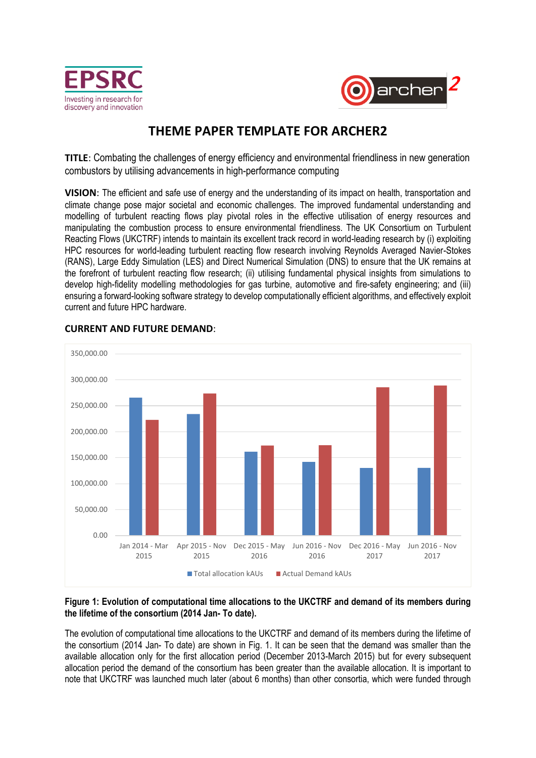



# **THEME PAPER TEMPLATE FOR ARCHER2**

**TITLE**: Combating the challenges of energy efficiency and environmental friendliness in new generation combustors by utilising advancements in high-performance computing

**VISION**: The efficient and safe use of energy and the understanding of its impact on health, transportation and climate change pose major societal and economic challenges. The improved fundamental understanding and modelling of turbulent reacting flows play pivotal roles in the effective utilisation of energy resources and manipulating the combustion process to ensure environmental friendliness. The UK Consortium on Turbulent Reacting Flows (UKCTRF) intends to maintain its excellent track record in world-leading research by (i) exploiting HPC resources for world-leading turbulent reacting flow research involving Reynolds Averaged Navier-Stokes (RANS), Large Eddy Simulation (LES) and Direct Numerical Simulation (DNS) to ensure that the UK remains at the forefront of turbulent reacting flow research; (ii) utilising fundamental physical insights from simulations to develop high-fidelity modelling methodologies for gas turbine, automotive and fire-safety engineering; and (iii) ensuring a forward-looking software strategy to develop computationally efficient algorithms, and effectively exploit current and future HPC hardware.



# **CURRENT AND FUTURE DEMAND**:

#### **Figure 1: Evolution of computational time allocations to the UKCTRF and demand of its members during the lifetime of the consortium (2014 Jan- To date).**

The evolution of computational time allocations to the UKCTRF and demand of its members during the lifetime of the consortium (2014 Jan- To date) are shown in Fig. 1. It can be seen that the demand was smaller than the available allocation only for the first allocation period (December 2013-March 2015) but for every subsequent allocation period the demand of the consortium has been greater than the available allocation. It is important to note that UKCTRF was launched much later (about 6 months) than other consortia, which were funded through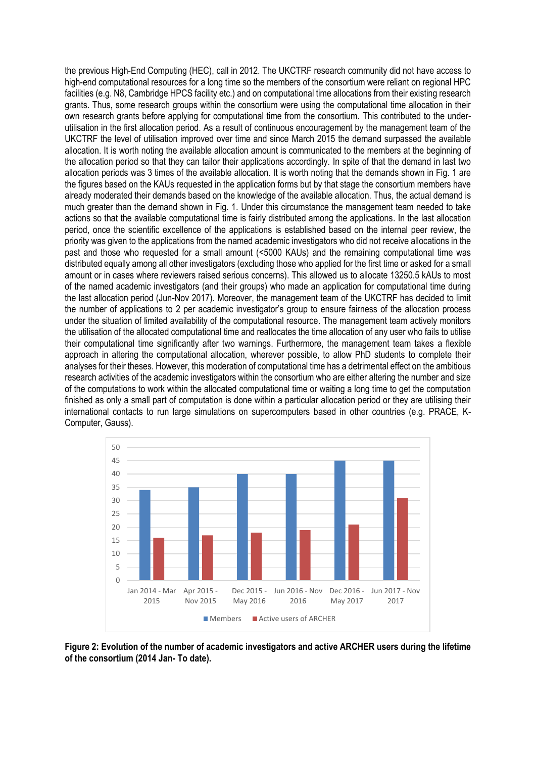the previous High-End Computing (HEC), call in 2012. The UKCTRF research community did not have access to high-end computational resources for a long time so the members of the consortium were reliant on regional HPC facilities (e.g. N8, Cambridge HPCS facility etc.) and on computational time allocations from their existing research grants. Thus, some research groups within the consortium were using the computational time allocation in their own research grants before applying for computational time from the consortium. This contributed to the underutilisation in the first allocation period. As a result of continuous encouragement by the management team of the UKCTRF the level of utilisation improved over time and since March 2015 the demand surpassed the available allocation. It is worth noting the available allocation amount is communicated to the members at the beginning of the allocation period so that they can tailor their applications accordingly. In spite of that the demand in last two allocation periods was 3 times of the available allocation. It is worth noting that the demands shown in Fig. 1 are the figures based on the KAUs requested in the application forms but by that stage the consortium members have already moderated their demands based on the knowledge of the available allocation. Thus, the actual demand is much greater than the demand shown in Fig. 1. Under this circumstance the management team needed to take actions so that the available computational time is fairly distributed among the applications. In the last allocation period, once the scientific excellence of the applications is established based on the internal peer review, the priority was given to the applications from the named academic investigators who did not receive allocations in the past and those who requested for a small amount (<5000 KAUs) and the remaining computational time was distributed equally among all other investigators (excluding those who applied for the first time or asked for a small amount or in cases where reviewers raised serious concerns). This allowed us to allocate 13250.5 kAUs to most of the named academic investigators (and their groups) who made an application for computational time during the last allocation period (Jun-Nov 2017). Moreover, the management team of the UKCTRF has decided to limit the number of applications to 2 per academic investigator's group to ensure fairness of the allocation process under the situation of limited availability of the computational resource. The management team actively monitors the utilisation of the allocated computational time and reallocates the time allocation of any user who fails to utilise their computational time significantly after two warnings. Furthermore, the management team takes a flexible approach in altering the computational allocation, wherever possible, to allow PhD students to complete their analyses for their theses. However, this moderation of computational time has a detrimental effect on the ambitious research activities of the academic investigators within the consortium who are either altering the number and size of the computations to work within the allocated computational time or waiting a long time to get the computation finished as only a small part of computation is done within a particular allocation period or they are utilising their international contacts to run large simulations on supercomputers based in other countries (e.g. PRACE, K-Computer, Gauss).



**Figure 2: Evolution of the number of academic investigators and active ARCHER users during the lifetime of the consortium (2014 Jan- To date).**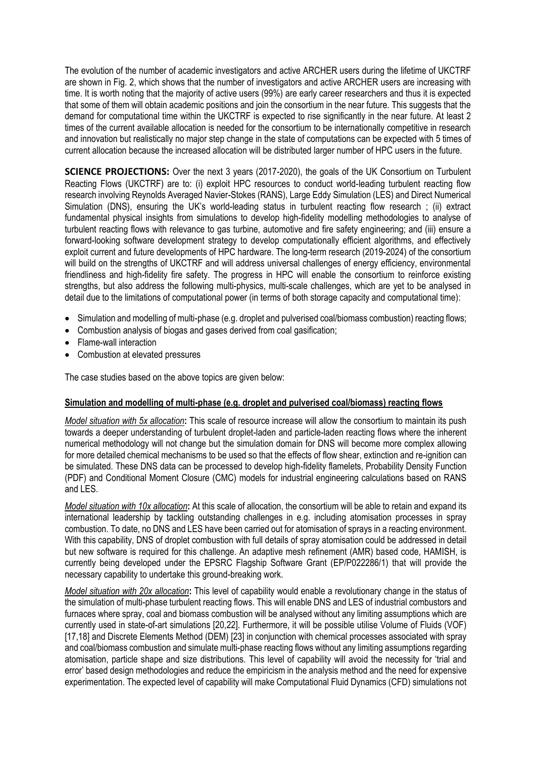The evolution of the number of academic investigators and active ARCHER users during the lifetime of UKCTRF are shown in Fig. 2, which shows that the number of investigators and active ARCHER users are increasing with time. It is worth noting that the majority of active users (99%) are early career researchers and thus it is expected that some of them will obtain academic positions and join the consortium in the near future. This suggests that the demand for computational time within the UKCTRF is expected to rise significantly in the near future. At least 2 times of the current available allocation is needed for the consortium to be internationally competitive in research and innovation but realistically no major step change in the state of computations can be expected with 5 times of current allocation because the increased allocation will be distributed larger number of HPC users in the future.

**SCIENCE PROJECTIONS:** Over the next 3 years (2017-2020), the goals of the UK Consortium on Turbulent Reacting Flows (UKCTRF) are to: (i) exploit HPC resources to conduct world-leading turbulent reacting flow research involving Reynolds Averaged Navier-Stokes (RANS), Large Eddy Simulation (LES) and Direct Numerical Simulation (DNS), ensuring the UK's world-leading status in turbulent reacting flow research ; (ii) extract fundamental physical insights from simulations to develop high-fidelity modelling methodologies to analyse of turbulent reacting flows with relevance to gas turbine, automotive and fire safety engineering; and (iii) ensure a forward-looking software development strategy to develop computationally efficient algorithms, and effectively exploit current and future developments of HPC hardware. The long-term research (2019-2024) of the consortium will build on the strengths of UKCTRF and will address universal challenges of energy efficiency, environmental friendliness and high-fidelity fire safety. The progress in HPC will enable the consortium to reinforce existing strengths, but also address the following multi-physics, multi-scale challenges, which are yet to be analysed in detail due to the limitations of computational power (in terms of both storage capacity and computational time):

- Simulation and modelling of multi-phase (e.g. droplet and pulverised coal/biomass combustion) reacting flows;
- Combustion analysis of biogas and gases derived from coal gasification:
- Flame-wall interaction
- Combustion at elevated pressures

The case studies based on the above topics are given below:

#### **Simulation and modelling of multi-phase (e.g. droplet and pulverised coal/biomass) reacting flows**

*Model situation with 5x allocation***:** This scale of resource increase will allow the consortium to maintain its push towards a deeper understanding of turbulent droplet-laden and particle-laden reacting flows where the inherent numerical methodology will not change but the simulation domain for DNS will become more complex allowing for more detailed chemical mechanisms to be used so that the effects of flow shear, extinction and re-ignition can be simulated. These DNS data can be processed to develop high-fidelity flamelets, Probability Density Function (PDF) and Conditional Moment Closure (CMC) models for industrial engineering calculations based on RANS and LES.

*Model situation with 10x allocation***:** At this scale of allocation, the consortium will be able to retain and expand its international leadership by tackling outstanding challenges in e.g. including atomisation processes in spray combustion. To date, no DNS and LES have been carried out for atomisation of sprays in a reacting environment. With this capability, DNS of droplet combustion with full details of spray atomisation could be addressed in detail but new software is required for this challenge. An adaptive mesh refinement (AMR) based code, HAMISH, is currently being developed under the EPSRC Flagship Software Grant (EP/P022286/1) that will provide the necessary capability to undertake this ground-breaking work.

*Model situation with 20x allocation***:** This level of capability would enable a revolutionary change in the status of the simulation of multi-phase turbulent reacting flows. This will enable DNS and LES of industrial combustors and furnaces where spray, coal and biomass combustion will be analysed without any limiting assumptions which are currently used in state-of-art simulations [20,22]. Furthermore, it will be possible utilise Volume of Fluids (VOF) [17,18] and Discrete Elements Method (DEM) [23] in conjunction with chemical processes associated with spray and coal/biomass combustion and simulate multi-phase reacting flows without any limiting assumptions regarding atomisation, particle shape and size distributions. This level of capability will avoid the necessity for 'trial and error' based design methodologies and reduce the empiricism in the analysis method and the need for expensive experimentation. The expected level of capability will make Computational Fluid Dynamics (CFD) simulations not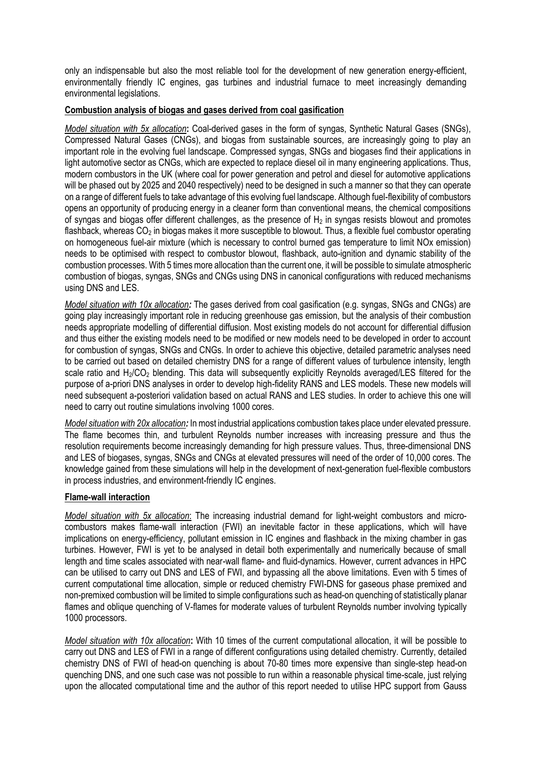only an indispensable but also the most reliable tool for the development of new generation energy-efficient, environmentally friendly IC engines, gas turbines and industrial furnace to meet increasingly demanding environmental legislations.

## **Combustion analysis of biogas and gases derived from coal gasification**

*Model situation with 5x allocation***:** Coal-derived gases in the form of syngas, Synthetic Natural Gases (SNGs), Compressed Natural Gases (CNGs), and biogas from sustainable sources, are increasingly going to play an important role in the evolving fuel landscape. Compressed syngas, SNGs and biogases find their applications in light automotive sector as CNGs, which are expected to replace diesel oil in many engineering applications. Thus, modern combustors in the UK (where coal for power generation and petrol and diesel for automotive applications will be phased out by 2025 and 2040 respectively) need to be designed in such a manner so that they can operate on a range of different fuels to take advantage of this evolving fuel landscape. Although fuel-flexibility of combustors opens an opportunity of producing energy in a cleaner form than conventional means, the chemical compositions of syngas and biogas offer different challenges, as the presence of  $H_2$  in syngas resists blowout and promotes flashback, whereas CO<sub>2</sub> in biogas makes it more susceptible to blowout. Thus, a flexible fuel combustor operating on homogeneous fuel-air mixture (which is necessary to control burned gas temperature to limit NOx emission) needs to be optimised with respect to combustor blowout, flashback, auto-ignition and dynamic stability of the combustion processes. With 5 times more allocation than the current one, it will be possible to simulate atmospheric combustion of biogas, syngas, SNGs and CNGs using DNS in canonical configurations with reduced mechanisms using DNS and LES.

*Model situation with 10x allocation:* The gases derived from coal gasification (e.g. syngas, SNGs and CNGs) are going play increasingly important role in reducing greenhouse gas emission, but the analysis of their combustion needs appropriate modelling of differential diffusion. Most existing models do not account for differential diffusion and thus either the existing models need to be modified or new models need to be developed in order to account for combustion of syngas, SNGs and CNGs. In order to achieve this objective, detailed parametric analyses need to be carried out based on detailed chemistry DNS for a range of different values of turbulence intensity, length scale ratio and H<sub>2</sub>/CO<sub>2</sub> blending. This data will subsequently explicitly Reynolds averaged/LES filtered for the purpose of a-priori DNS analyses in order to develop high-fidelity RANS and LES models. These new models will need subsequent a-posteriori validation based on actual RANS and LES studies. In order to achieve this one will need to carry out routine simulations involving 1000 cores.

*Model situation with 20x allocation:* In most industrial applications combustion takes place under elevated pressure. The flame becomes thin, and turbulent Reynolds number increases with increasing pressure and thus the resolution requirements become increasingly demanding for high pressure values. Thus, three-dimensional DNS and LES of biogases, syngas, SNGs and CNGs at elevated pressures will need of the order of 10,000 cores. The knowledge gained from these simulations will help in the development of next-generation fuel-flexible combustors in process industries, and environment-friendly IC engines.

## **Flame-wall interaction**

*Model situation with 5x allocation*: The increasing industrial demand for light-weight combustors and microcombustors makes flame-wall interaction (FWI) an inevitable factor in these applications, which will have implications on energy-efficiency, pollutant emission in IC engines and flashback in the mixing chamber in gas turbines. However, FWI is yet to be analysed in detail both experimentally and numerically because of small length and time scales associated with near-wall flame- and fluid-dynamics. However, current advances in HPC can be utilised to carry out DNS and LES of FWI, and bypassing all the above limitations. Even with 5 times of current computational time allocation, simple or reduced chemistry FWI-DNS for gaseous phase premixed and non-premixed combustion will be limited to simple configurations such as head-on quenching of statistically planar flames and oblique quenching of V-flames for moderate values of turbulent Reynolds number involving typically 1000 processors.

*Model situation with 10x allocation***:** With 10 times of the current computational allocation, it will be possible to carry out DNS and LES of FWI in a range of different configurations using detailed chemistry. Currently, detailed chemistry DNS of FWI of head-on quenching is about 70-80 times more expensive than single-step head-on quenching DNS, and one such case was not possible to run within a reasonable physical time-scale, just relying upon the allocated computational time and the author of this report needed to utilise HPC support from Gauss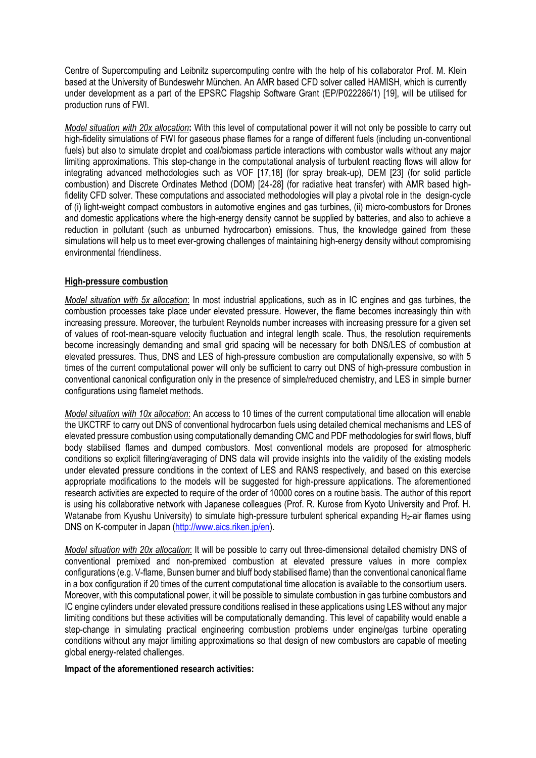Centre of Supercomputing and Leibnitz supercomputing centre with the help of his collaborator Prof. M. Klein based at the University of Bundeswehr München. An AMR based CFD solver called HAMISH, which is currently under development as a part of the EPSRC Flagship Software Grant (EP/P022286/1) [19], will be utilised for production runs of FWI.

*Model situation with 20x allocation***:** With this level of computational power it will not only be possible to carry out high-fidelity simulations of FWI for gaseous phase flames for a range of different fuels (including un-conventional fuels) but also to simulate droplet and coal/biomass particle interactions with combustor walls without any major limiting approximations. This step-change in the computational analysis of turbulent reacting flows will allow for integrating advanced methodologies such as VOF [17,18] (for spray break-up), DEM [23] (for solid particle combustion) and Discrete Ordinates Method (DOM) [24-28] (for radiative heat transfer) with AMR based highfidelity CFD solver. These computations and associated methodologies will play a pivotal role in the design-cycle of (i) light-weight compact combustors in automotive engines and gas turbines, (ii) micro-combustors for Drones and domestic applications where the high-energy density cannot be supplied by batteries, and also to achieve a reduction in pollutant (such as unburned hydrocarbon) emissions. Thus, the knowledge gained from these simulations will help us to meet ever-growing challenges of maintaining high-energy density without compromising environmental friendliness.

## **High-pressure combustion**

*Model situation with 5x allocation*: In most industrial applications, such as in IC engines and gas turbines, the combustion processes take place under elevated pressure. However, the flame becomes increasingly thin with increasing pressure. Moreover, the turbulent Reynolds number increases with increasing pressure for a given set of values of root-mean-square velocity fluctuation and integral length scale. Thus, the resolution requirements become increasingly demanding and small grid spacing will be necessary for both DNS/LES of combustion at elevated pressures. Thus, DNS and LES of high-pressure combustion are computationally expensive, so with 5 times of the current computational power will only be sufficient to carry out DNS of high-pressure combustion in conventional canonical configuration only in the presence of simple/reduced chemistry, and LES in simple burner configurations using flamelet methods.

*Model situation with 10x allocation*: An access to 10 times of the current computational time allocation will enable the UKCTRF to carry out DNS of conventional hydrocarbon fuels using detailed chemical mechanisms and LES of elevated pressure combustion using computationally demanding CMC and PDF methodologies for swirl flows, bluff body stabilised flames and dumped combustors. Most conventional models are proposed for atmospheric conditions so explicit filtering/averaging of DNS data will provide insights into the validity of the existing models under elevated pressure conditions in the context of LES and RANS respectively, and based on this exercise appropriate modifications to the models will be suggested for high-pressure applications. The aforementioned research activities are expected to require of the order of 10000 cores on a routine basis. The author of this report is using his collaborative network with Japanese colleagues (Prof. R. Kurose from Kyoto University and Prof. H. Watanabe from Kyushu University) to simulate high-pressure turbulent spherical expanding H<sub>2</sub>-air flames using DNS on K-computer in Japan [\(http://www.aics.riken.jp/en\)](http://www.aics.riken.jp/en).

*Model situation with 20x allocation*: It will be possible to carry out three-dimensional detailed chemistry DNS of conventional premixed and non-premixed combustion at elevated pressure values in more complex configurations (e.g. V-flame, Bunsen burner and bluff body stabilised flame) than the conventional canonical flame in a box configuration if 20 times of the current computational time allocation is available to the consortium users. Moreover, with this computational power, it will be possible to simulate combustion in gas turbine combustors and IC engine cylinders under elevated pressure conditions realised in these applications using LES without any major limiting conditions but these activities will be computationally demanding. This level of capability would enable a step-change in simulating practical engineering combustion problems under engine/gas turbine operating conditions without any major limiting approximations so that design of new combustors are capable of meeting global energy-related challenges.

#### **Impact of the aforementioned research activities:**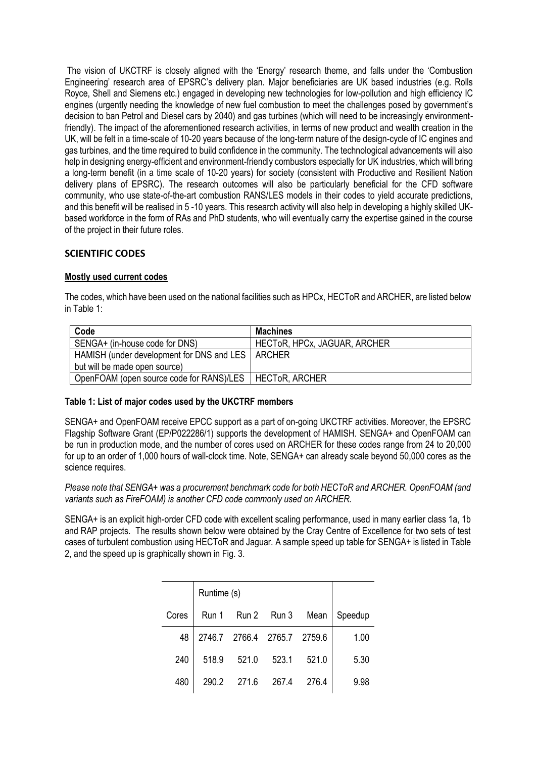The vision of UKCTRF is closely aligned with the 'Energy' research theme, and falls under the 'Combustion Engineering' research area of EPSRC's delivery plan. Major beneficiaries are UK based industries (e.g. Rolls Royce, Shell and Siemens etc.) engaged in developing new technologies for low-pollution and high efficiency IC engines (urgently needing the knowledge of new fuel combustion to meet the challenges posed by government's decision to ban Petrol and Diesel cars by 2040) and gas turbines (which will need to be increasingly environmentfriendly). The impact of the aforementioned research activities, in terms of new product and wealth creation in the UK, will be felt in a time-scale of 10-20 years because of the long-term nature of the design-cycle of IC engines and gas turbines, and the time required to build confidence in the community. The technological advancements will also help in designing energy-efficient and environment-friendly combustors especially for UK industries, which will bring a long-term benefit (in a time scale of 10-20 years) for society (consistent with Productive and Resilient Nation delivery plans of EPSRC). The research outcomes will also be particularly beneficial for the CFD software community, who use state-of-the-art combustion RANS/LES models in their codes to yield accurate predictions, and this benefit will be realised in 5 -10 years. This research activity will also help in developing a highly skilled UKbased workforce in the form of RAs and PhD students, who will eventually carry the expertise gained in the course of the project in their future roles.

## **SCIENTIFIC CODES**

## **Mostly used current codes**

| Code                                      | Machines                     |
|-------------------------------------------|------------------------------|
| SENGA+ (in-house code for DNS)            | HECTOR, HPCx, JAGUAR, ARCHER |
| HAMISH (under development for DNS and LES | ARCHER                       |
| but will be made open source)             |                              |
| OpenFOAM (open source code for RANS)/LES  | <b>HECTOR, ARCHER</b>        |

The codes, which have been used on the national facilities such as HPCx, HECToR and ARCHER, are listed below in Table 1:

## **Table 1: List of major codes used by the UKCTRF members**

SENGA+ and OpenFOAM receive EPCC support as a part of on-going UKCTRF activities. Moreover, the EPSRC Flagship Software Grant (EP/P022286/1) supports the development of HAMISH. SENGA+ and OpenFOAM can be run in production mode, and the number of cores used on ARCHER for these codes range from 24 to 20,000 for up to an order of 1,000 hours of wall-clock time. Note, SENGA+ can already scale beyond 50,000 cores as the science requires.

*Please note that SENGA+ was a procurement benchmark code for both HECToR and ARCHER. OpenFOAM (and variants such as FireFOAM) is another CFD code commonly used on ARCHER.*

SENGA+ is an explicit high-order CFD code with excellent scaling performance, used in many earlier class 1a, 1b and RAP projects. The results shown below were obtained by the Cray Centre of Excellence for two sets of test cases of turbulent combustion using HECToR and Jaguar. A sample speed up table for SENGA+ is listed in Table 2, and the speed up is graphically shown in Fig. 3.

|       | Runtime (s) |             |                             |       |         |
|-------|-------------|-------------|-----------------------------|-------|---------|
| Cores | Run 1       |             | Run 2 Run 3 Mean            |       | Speedup |
| 48    |             |             | 2746.7 2766.4 2765.7 2759.6 |       | 1.00    |
| 240   | 518.9       | 521.0       | 523.1                       | 521.0 | 5.30    |
| 480   | 290.2       | 271.6 267.4 |                             | 276.4 | 9.98    |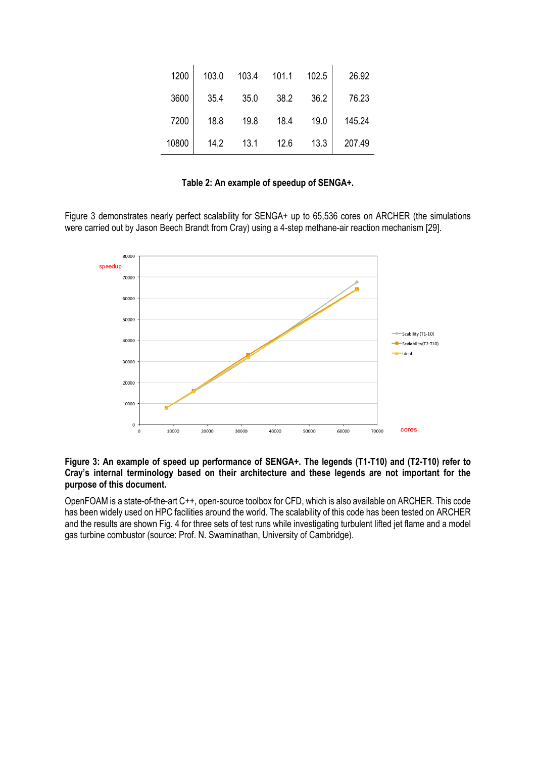| 1200  | 103.0 | 103.4 | 101.1 | 102.5 | 26.92  |
|-------|-------|-------|-------|-------|--------|
| 3600  | 35.4  | 35.0  | 38.2  | 36.2  | 76.23  |
| 7200  | 18.8  | 19.8  | 18.4  | 19.0  | 145.24 |
| 10800 | 14.2  | 13.1  | 12.6  | 13.3  | 207.49 |

## **Table 2: An example of speedup of SENGA+.**

Figure 3 demonstrates nearly perfect scalability for SENGA+ up to 65,536 cores on ARCHER (the simulations were carried out by Jason Beech Brandt from Cray) using a 4-step methane-air reaction mechanism [29].



#### **Figure 3: An example of speed up performance of SENGA+. The legends (T1-T10) and (T2-T10) refer to Cray's internal terminology based on their architecture and these legends are not important for the purpose of this document.**

OpenFOAM is a state-of-the-art C++, open-source toolbox for CFD, which is also available on ARCHER. This code has been widely used on HPC facilities around the world. The scalability of this code has been tested on ARCHER and the results are shown Fig. 4 for three sets of test runs while investigating turbulent lifted jet flame and a model gas turbine combustor (source: Prof. N. Swaminathan, University of Cambridge).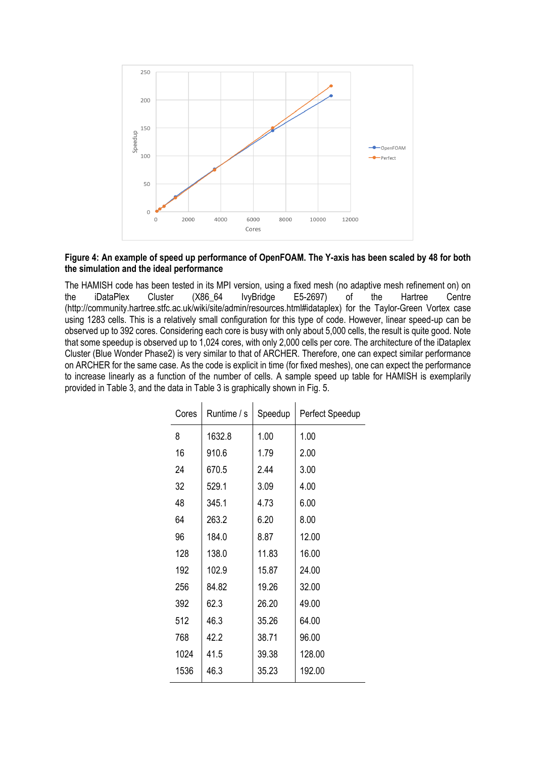

## **Figure 4: An example of speed up performance of OpenFOAM. The Y-axis has been scaled by 48 for both the simulation and the ideal performance**

The HAMISH code has been tested in its MPI version, using a fixed mesh (no adaptive mesh refinement on) on the iDataPlex Cluster (X86\_64 IvyBridge E5-2697) of the Hartree Centre [\(http://community.hartree.stfc.ac.uk/wiki/site/admin/resources.html#idataplex\)](http://community.hartree.stfc.ac.uk/wiki/site/admin/resources.html#idataplex) for the Taylor-Green Vortex case using 1283 cells. This is a relatively small configuration for this type of code. However, linear speed-up can be observed up to 392 cores. Considering each core is busy with only about 5,000 cells, the result is quite good. Note that some speedup is observed up to 1,024 cores, with only 2,000 cells per core. The architecture of the iDataplex Cluster (Blue Wonder Phase2) is very similar to that of ARCHER. Therefore, one can expect similar performance on ARCHER for the same case. As the code is explicit in time (for fixed meshes), one can expect the performance to increase linearly as a function of the number of cells. A sample speed up table for HAMISH is exemplarily provided in Table 3, and the data in Table 3 is graphically shown in Fig. 5.

| Cores | Runtime / s | Speedup | Perfect Speedup |
|-------|-------------|---------|-----------------|
| 8     | 1632.8      | 1.00    | 1.00            |
| 16    | 910.6       | 1.79    | 2.00            |
| 24    | 670.5       | 2.44    | 3.00            |
| 32    | 529.1       | 3.09    | 4.00            |
| 48    | 345.1       | 4.73    | 6.00            |
| 64    | 263.2       | 6.20    | 8.00            |
| 96    | 184.0       | 8.87    | 12.00           |
| 128   | 138.0       | 11.83   | 16.00           |
| 192   | 102.9       | 15.87   | 24.00           |
| 256   | 84.82       | 19.26   | 32.00           |
| 392   | 62.3        | 26.20   | 49.00           |
| 512   | 46.3        | 35.26   | 64.00           |
| 768   | 42.2        | 38.71   | 96.00           |
| 1024  | 41.5        | 39.38   | 128.00          |
| 1536  | 46.3        | 35.23   | 192.00          |
|       |             |         |                 |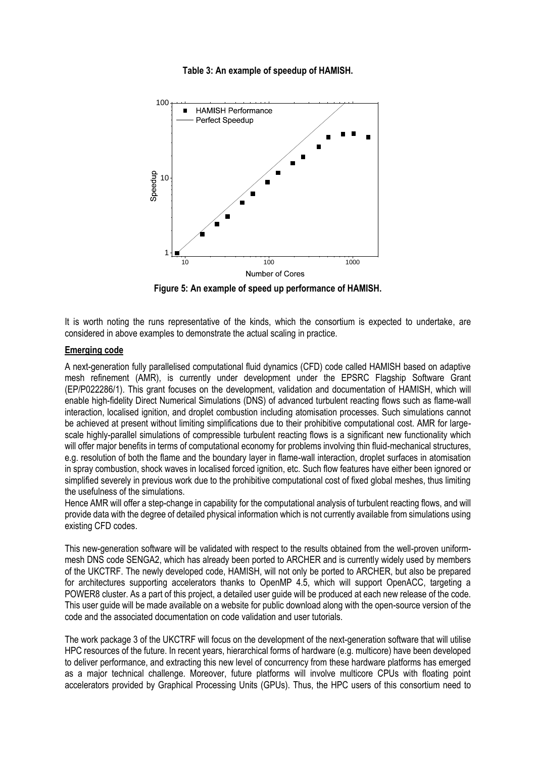

#### **Table 3: An example of speedup of HAMISH.**

**Figure 5: An example of speed up performance of HAMISH.**

It is worth noting the runs representative of the kinds, which the consortium is expected to undertake, are considered in above examples to demonstrate the actual scaling in practice.

#### **Emerging code**

A next-generation fully parallelised computational fluid dynamics (CFD) code called HAMISH based on adaptive mesh refinement (AMR), is currently under development under the EPSRC Flagship Software Grant (EP/P022286/1). This grant focuses on the development, validation and documentation of HAMISH, which will enable high-fidelity Direct Numerical Simulations (DNS) of advanced turbulent reacting flows such as flame-wall interaction, localised ignition, and droplet combustion including atomisation processes. Such simulations cannot be achieved at present without limiting simplifications due to their prohibitive computational cost. AMR for largescale highly-parallel simulations of compressible turbulent reacting flows is a significant new functionality which will offer major benefits in terms of computational economy for problems involving thin fluid-mechanical structures, e.g. resolution of both the flame and the boundary layer in flame-wall interaction, droplet surfaces in atomisation in spray combustion, shock waves in localised forced ignition, etc. Such flow features have either been ignored or simplified severely in previous work due to the prohibitive computational cost of fixed global meshes, thus limiting the usefulness of the simulations.

Hence AMR will offer a step-change in capability for the computational analysis of turbulent reacting flows, and will provide data with the degree of detailed physical information which is not currently available from simulations using existing CFD codes.

This new-generation software will be validated with respect to the results obtained from the well-proven uniformmesh DNS code SENGA2, which has already been ported to ARCHER and is currently widely used by members of the UKCTRF. The newly developed code, HAMISH, will not only be ported to ARCHER, but also be prepared for architectures supporting accelerators thanks to OpenMP 4.5, which will support OpenACC, targeting a POWER8 cluster. As a part of this project, a detailed user guide will be produced at each new release of the code. This user guide will be made available on a website for public download along with the open-source version of the code and the associated documentation on code validation and user tutorials.

The work package 3 of the UKCTRF will focus on the development of the next-generation software that will utilise HPC resources of the future. In recent years, hierarchical forms of hardware (e.g. multicore) have been developed to deliver performance, and extracting this new level of concurrency from these hardware platforms has emerged as a major technical challenge. Moreover, future platforms will involve multicore CPUs with floating point accelerators provided by Graphical Processing Units (GPUs). Thus, the HPC users of this consortium need to